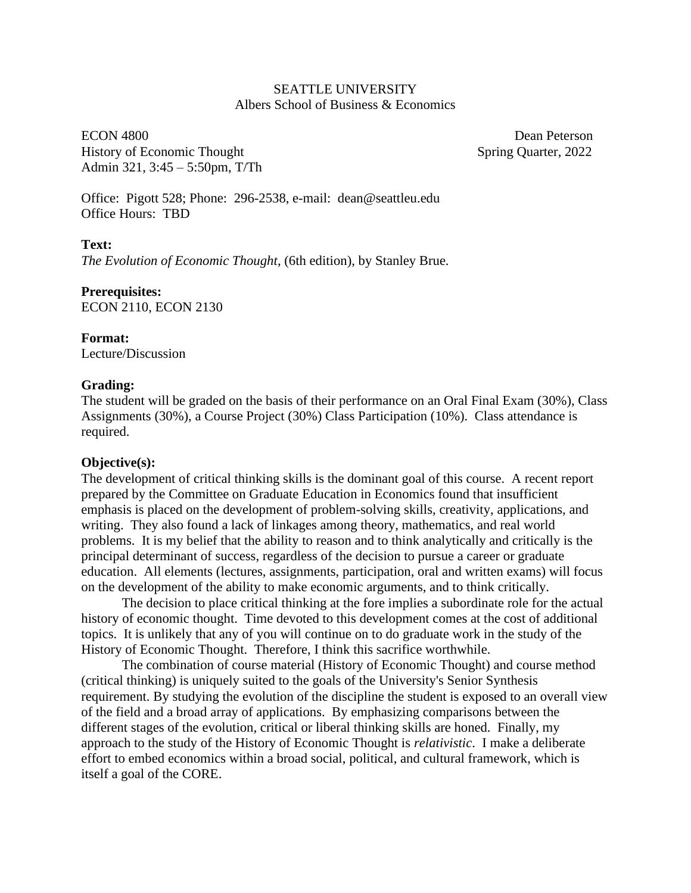### SEATTLE UNIVERSITY Albers School of Business & Economics

ECON 4800 Dean Peterson History of Economic Thought Spring Quarter, 2022 Admin 321, 3:45 – 5:50pm, T/Th

Office: Pigott 528; Phone: 296-2538, e-mail: dean@seattleu.edu Office Hours: TBD

## **Text:**

*The Evolution of Economic Thought*, (6th edition), by Stanley Brue.

**Prerequisites:** ECON 2110, ECON 2130

**Format:** Lecture/Discussion

### **Grading:**

The student will be graded on the basis of their performance on an Oral Final Exam (30%), Class Assignments (30%), a Course Project (30%) Class Participation (10%). Class attendance is required.

#### **Objective(s):**

The development of critical thinking skills is the dominant goal of this course. A recent report prepared by the Committee on Graduate Education in Economics found that insufficient emphasis is placed on the development of problem-solving skills, creativity, applications, and writing. They also found a lack of linkages among theory, mathematics, and real world problems. It is my belief that the ability to reason and to think analytically and critically is the principal determinant of success, regardless of the decision to pursue a career or graduate education. All elements (lectures, assignments, participation, oral and written exams) will focus on the development of the ability to make economic arguments, and to think critically.

The decision to place critical thinking at the fore implies a subordinate role for the actual history of economic thought. Time devoted to this development comes at the cost of additional topics. It is unlikely that any of you will continue on to do graduate work in the study of the History of Economic Thought. Therefore, I think this sacrifice worthwhile.

The combination of course material (History of Economic Thought) and course method (critical thinking) is uniquely suited to the goals of the University's Senior Synthesis requirement. By studying the evolution of the discipline the student is exposed to an overall view of the field and a broad array of applications. By emphasizing comparisons between the different stages of the evolution, critical or liberal thinking skills are honed. Finally, my approach to the study of the History of Economic Thought is *relativistic*. I make a deliberate effort to embed economics within a broad social, political, and cultural framework, which is itself a goal of the CORE.